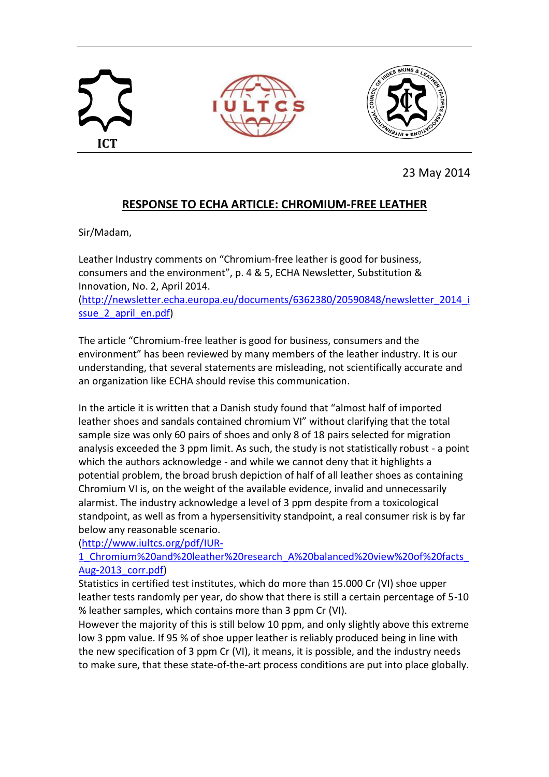

23 May 2014

## **RESPONSE TO ECHA ARTICLE: CHROMIUM-FREE LEATHER**

Sir/Madam,

Leather Industry comments on "Chromium-free leather is good for business, consumers and the environment", p. 4 & 5, ECHA Newsletter, Substitution & Innovation, No. 2, April 2014.

[\(http://newsletter.echa.europa.eu/documents/6362380/20590848/newsletter\\_2014\\_i](http://newsletter.echa.europa.eu/documents/6362380/20590848/newsletter_2014_issue_2_april_en.pdf) ssue 2 april en.pdf)

The article "Chromium-free leather is good for business, consumers and the environment" has been reviewed by many members of the leather industry. It is our understanding, that several statements are misleading, not scientifically accurate and an organization like ECHA should revise this communication.

In the article it is written that a Danish study found that "almost half of imported leather shoes and sandals contained chromium VI" without clarifying that the total sample size was only 60 pairs of shoes and only 8 of 18 pairs selected for migration analysis exceeded the 3 ppm limit. As such, the study is not statistically robust - a point which the authors acknowledge - and while we cannot deny that it highlights a potential problem, the broad brush depiction of half of all leather shoes as containing Chromium VI is, on the weight of the available evidence, invalid and unnecessarily alarmist. The industry acknowledge a level of 3 ppm despite from a toxicological standpoint, as well as from a hypersensitivity standpoint, a real consumer risk is by far below any reasonable scenario.

[\(http://www.iultcs.org/pdf/IUR-](http://www.iultcs.org/pdf/IUR-1_Chromium%20and%20leather%20research_A%20balanced%20view%20of%20facts_Aug-2013_corr.pdf)

[1\\_Chromium%20and%20leather%20research\\_A%20balanced%20view%20of%20facts\\_](http://www.iultcs.org/pdf/IUR-1_Chromium%20and%20leather%20research_A%20balanced%20view%20of%20facts_Aug-2013_corr.pdf) [Aug-2013\\_corr.pdf\)](http://www.iultcs.org/pdf/IUR-1_Chromium%20and%20leather%20research_A%20balanced%20view%20of%20facts_Aug-2013_corr.pdf)

Statistics in certified test institutes, which do more than 15.000 Cr (VI) shoe upper leather tests randomly per year, do show that there is still a certain percentage of 5-10 % leather samples, which contains more than 3 ppm Cr (VI).

However the majority of this is still below 10 ppm, and only slightly above this extreme low 3 ppm value. If 95 % of shoe upper leather is reliably produced being in line with the new specification of 3 ppm Cr (VI), it means, it is possible, and the industry needs to make sure, that these state-of-the-art process conditions are put into place globally.